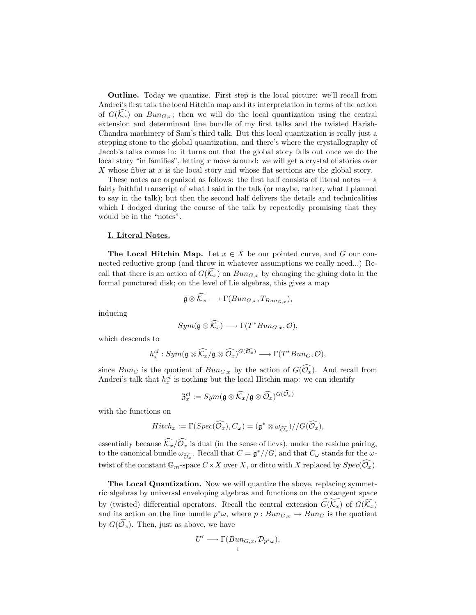Outline. Today we quantize. First step is the local picture: we'll recall from Andrei's first talk the local Hitchin map and its interpretation in terms of the action of  $G(\widehat{k_x})$  on  $Bun_{G,x}$ ; then we will do the local quantization using the central extension and determinant line bundle of my first talks and the twisted Harish-Chandra machinery of Sam's third talk. But this local quantization is really just a stepping stone to the global quantization, and there's where the crystallography of Jacob's talks comes in: it turns out that the global story falls out once we do the local story "in families", letting x move around: we will get a crystal of stories over  $X$  whose fiber at  $x$  is the local story and whose flat sections are the global story.

These notes are organized as follows: the first half consists of literal notes — a fairly faithful transcript of what I said in the talk (or maybe, rather, what I planned to say in the talk); but then the second half delivers the details and technicalities which I dodged during the course of the talk by repeatedly promising that they would be in the "notes".

## I. Literal Notes.

**The Local Hitchin Map.** Let  $x \in X$  be our pointed curve, and G our connected reductive group (and throw in whatever assumptions we really need...) Recall that there is an action of  $G(\widehat{k_x})$  on  $Bun_{G,x}$  by changing the gluing data in the formal punctured disk; on the level of Lie algebras, this gives a map

$$
\mathfrak{g} \otimes \mathcal{K}_x \longrightarrow \Gamma(Bun_{G,x}, T_{Bun_{G,x}}),
$$

inducing

$$
Sym(\mathfrak{g} \otimes \widehat{K_x}) \longrightarrow \Gamma(T^*Bun_{G,x}, \mathcal{O}),
$$

which descends to

$$
h_x^{cl}:Sym(\mathfrak{g}\otimes \widehat{\mathcal{K}_x}/\mathfrak{g}\otimes \widehat{\mathcal{O}_x})^{G(\widehat{\mathcal{O}_x})}\longrightarrow \Gamma(T^*Bun_{G},\mathcal{O}),
$$

since  $Bun_G$  is the quotient of  $Bun_{G,x}$  by the action of  $G(\widehat{\mathcal{O}_x})$ . And recall from Andrei's talk that  $h_x^{cl}$  is nothing but the local Hitchin map: we can identify

$$
\mathfrak{Z}_x^{cl}:=Sym(\mathfrak{g}\otimes \widehat{\mathcal{K}_x}/\mathfrak{g}\otimes \widehat{\mathcal{O}_x})^{G(\widehat{\mathcal{O}_x})}
$$

with the functions on

$$
Hitch_x := \Gamma(Spec(\widehat{\mathcal{O}_x}), C_\omega) = (\mathfrak{g}^* \otimes \omega_{\widehat{\mathcal{O}_x}}) // G(\widehat{\mathcal{O}_x}),
$$

essentially because  $\widehat{\mathcal{K}_x}/\widehat{\mathcal{O}_x}$  is dual (in the sense of llcvs), under the residue pairing, to the canonical bundle  $\omega_{\widehat{O}_x}$ . Recall that  $C = \mathfrak{g}^*//G$ , and that  $C_{\omega}$  stands for the  $\omega$ twist of the constant  $\mathbb{G}_m$ -space  $C \times X$  over X, or ditto with X replaced by  $Spec(\widehat{O}_x)$ .

The Local Quantization. Now we will quantize the above, replacing symmetric algebras by universal enveloping algebras and functions on the cotangent space by (twisted) differential operators. Recall the central extension  $G(\mathcal{K}_x)$  of  $G(\mathcal{K}_x)$ and its action on the line bundle  $p^*\omega$ , where  $p: Bun_{G,x}\to Bun_G$  is the quotient by  $G(\widehat{\mathcal{O}_x})$ . Then, just as above, we have

$$
U' \longrightarrow \Gamma(Bun_{G,x}, \mathcal{D}_{p^*\omega}),
$$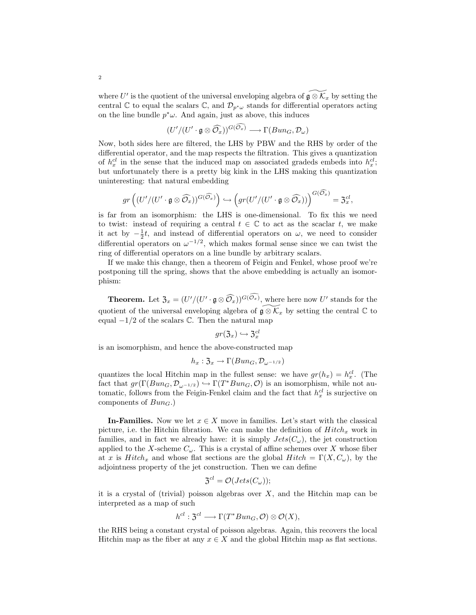where U' is the quotient of the universal enveloping algebra of  $\widetilde{\mathfrak{g}\otimes\mathcal{K}_x}$  by setting the central C to equal the scalars C, and  $\mathcal{D}_{p^*\omega}$  stands for differential operators acting on the line bundle  $p^*\omega$ . And again, just as above, this induces

$$
(U'/(U'\cdot \mathfrak{g}\otimes \widehat{\mathcal{O}_x}))^{G(\widehat{\mathcal{O}_x})}\longrightarrow \Gamma(Bun_G,\mathcal{D}_\omega)
$$

Now, both sides here are filtered, the LHS by PBW and the RHS by order of the differential operator, and the map respects the filtration. This gives a quantization of  $h_x^{cl}$  in the sense that the induced map on associated gradeds embeds into  $h_x^{cl}$ ; but unfortunately there is a pretty big kink in the LHS making this quantization uninteresting: that natural embedding

$$
gr\left((U'/(U'\cdot \mathfrak{g}\otimes \widehat{\mathcal{O}_x}))^{G(\widehat{\mathcal{O}_x})}\right) \hookrightarrow \left(gr(U'/(U'\cdot \mathfrak{g}\otimes \widehat{\mathcal{O}_x}))\right)^{G(\mathcal{O}_x)} = \mathfrak{Z}_x^{cl},
$$

is far from an isomorphism: the LHS is one-dimensional. To fix this we need to twist: instead of requiring a central  $t \in \mathbb{C}$  to act as the scaclar t, we make it act by  $-\frac{1}{2}t$ , and instead of differential operators on  $\omega$ , we need to consider differential operators on  $\omega^{-1/2}$ , which makes formal sense since we can twist the ring of differential operators on a line bundle by arbitrary scalars.

If we make this change, then a theorem of Feigin and Fenkel, whose proof we're postponing till the spring, shows that the above embedding is actually an isomorphism:

**Theorem.** Let  $\mathfrak{Z}_x = (U'/(U' \cdot \mathfrak{g} \otimes \widehat{O_x}))^{G(O_x)}$ , where here now U' stands for the quotient of the universal enveloping algebra of  $\widetilde{\mathfrak{g}\otimes\mathcal{K}}_x$  by setting the central  $\mathbb C$  to equal  $-1/2$  of the scalars  $\mathbb{C}$ . Then the natural map

$$
gr(\mathfrak{Z}_x)\hookrightarrow \mathfrak{Z}_x^{cl}
$$

is an isomorphism, and hence the above-constructed map

$$
h_x: \mathfrak{Z}_x \to \Gamma(Bun_G, \mathcal{D}_{\omega^{-1/2}})
$$

quantizes the local Hitchin map in the fullest sense: we have  $gr(h_x) = h_x^{cl}$ . (The fact that  $gr(\Gamma(Bun_G, \mathcal{D}_{\omega^{-1/2}}) \hookrightarrow \Gamma(T^*Bun_G, \mathcal{O})$  is an isomorphism, while not automatic, follows from the Feigin-Fenkel claim and the fact that  $h_x^{cl}$  is surjective on components of  $Bun_G$ .

**In-Families.** Now we let  $x \in X$  move in families. Let's start with the classical picture, i.e. the Hitchin fibration. We can make the definition of  $Hitch_x$  work in families, and in fact we already have: it is simply  $Jets(C_{\omega})$ , the jet construction applied to the X-scheme  $C_{\omega}$ . This is a crystal of affine schemes over X whose fiber at x is  $Hitch_x$  and whose flat sections are the global  $Hitch = \Gamma(X, C_{\omega})$ , by the adjointness property of the jet construction. Then we can define

$$
\mathfrak{Z}^{cl}=\mathcal{O}(Jets(C_\omega));
$$

it is a crystal of (trivial) poisson algebras over  $X$ , and the Hitchin map can be interpreted as a map of such

$$
h^{cl}: \mathfrak{Z}^{cl} \longrightarrow \Gamma(T^*Bun_G, \mathcal{O}) \otimes \mathcal{O}(X),
$$

the RHS being a constant crystal of poisson algebras. Again, this recovers the local Hitchin map as the fiber at any  $x \in X$  and the global Hitchin map as flat sections.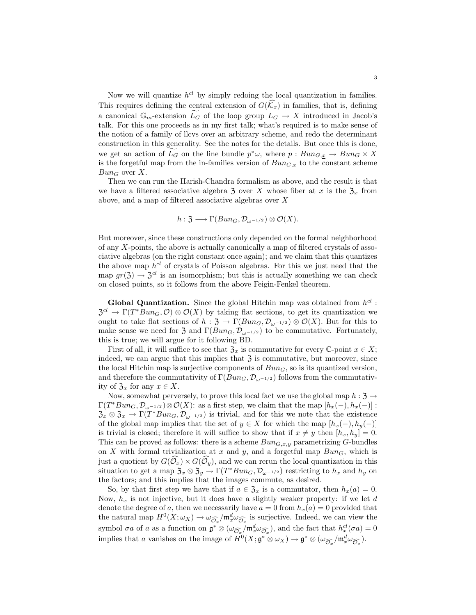Now we will quantize  $h^{cl}$  by simply redoing the local quantization in families. This requires defining the central extension of  $G(\widehat{k_x})$  in families, that is, defining a canonical  $\mathbb{G}_m$ -extension  $\widetilde{L}_G$  of the loop group  $L_G \to X$  introduced in Jacob's talk. For this one proceeds as in my first talk; what's required is to make sense of the notion of a family of llcvs over an arbitrary scheme, and redo the determinant construction in this generality. See the notes for the details. But once this is done, we get an action of  $\overline{L_G}$  on the line bundle  $p^*\omega$ , where  $p : Bun_{G,\underline{x}} \to Bun_G \times X$ is the forgetful map from the in-families version of  $Bun_{G,x}$  to the constant scheme  $Bun_G$  over X.

Then we can run the Harish-Chandra formalism as above, and the result is that we have a filtered associative algebra  $\mathfrak{Z}$  over X whose fiber at x is the  $\mathfrak{Z}_x$  from above, and a map of filtered associative algebras over X

$$
h: \mathfrak{Z} \longrightarrow \Gamma(Bun_{G}, \mathcal{D}_{\omega^{-1/2}}) \otimes \mathcal{O}(X).
$$

But moreover, since these constructions only depended on the formal neighborhood of any X-points, the above is actually canonically a map of filtered crystals of associative algebras (on the right constant once again); and we claim that this quantizes the above map  $h^{cl}$  of crystals of Poisson algebras. For this we just need that the map  $gr(\mathfrak{Z}) \to \mathfrak{Z}^{cl}$  is an isomorphism; but this is actually something we can check on closed points, so it follows from the above Feigin-Fenkel theorem.

Global Quantization. Since the global Hitchin map was obtained from  $h^{cl}$ :  $\mathfrak{Z}^{cl} \to \Gamma(T^*Bun_G, \mathcal{O}) \otimes \mathcal{O}(X)$  by taking flat sections, to get its quantization we ought to take flat sections of  $h : \mathfrak{Z} \to \Gamma(Bun_G, \mathcal{D}_{\omega^{-1/2}}) \otimes \mathcal{O}(X)$ . But for this to make sense we need for 3 and  $\Gamma(Bun_G, \mathcal{D}_{\omega^{-1/2}})$  to be commutative. Fortunately, this is true; we will argue for it following BD.

First of all, it will suffice to see that  $\mathfrak{Z}_x$  is commutative for every C-point  $x \in X$ ; indeed, we can argue that this implies that  $\mathfrak{Z}$  is commutative, but moreover, since the local Hitchin map is surjective components of  $Bun<sub>G</sub>$ , so is its quantized version, and therefore the commutativity of  $\Gamma(Bun_G, \mathcal{D}_{\omega^{-1/2}})$  follows from the commutativity of  $\mathfrak{Z}_x$  for any  $x \in X$ .

Now, somewhat perversely, to prove this local fact we use the global map  $h: \mathfrak{Z} \to$  $\Gamma(T^*Bun_G, \mathcal{D}_{\omega^{-1/2}}) \otimes \mathcal{O}(X)$ : as a first step, we claim that the map  $[h_x(-), h_x(-)]$ :  $\mathfrak{Z}_x \otimes \mathfrak{Z}_x \to \Gamma(T^*Bun_G, \mathcal{D}_{\omega^{-1/2}})$  is trivial, and for this we note that the existence of the global map implies that the set of  $y \in X$  for which the map  $[h_x(-), h_y(-)]$ is trivial is closed; therefore it will suffice to show that if  $x \neq y$  then  $[h_x, h_y] = 0$ . This can be proved as follows: there is a scheme  $Bun_{G,x,y}$  parametrizing G-bundles on X with formal trivialization at x and y, and a forgetful map  $Bun_G$ , which is just a quotient by  $G(\widehat{\mathcal{O}_x}) \times G(\widehat{\mathcal{O}_y})$ , and we can rerun the local quantization in this situation to get a map  $\mathfrak{Z}_x \otimes \mathfrak{Z}_y \to \Gamma(T^*Bun_G, \mathcal{D}_{\omega^{-1/2}})$  restricting to  $h_x$  and  $h_y$  on the factors; and this implies that the images commute, as desired.

So, by that first step we have that if  $a \in \mathfrak{Z}_x$  is a commutator, then  $h_x(a) = 0$ . Now,  $h_x$  is not injective, but it does have a slightly weaker property: if we let d denote the degree of a, then we necessarily have  $a = 0$  from  $h_x(a) = 0$  provided that the natural map  $H^0(X; \omega_X) \to \omega_{\widehat{\mathcal{O}}_x}/\mathfrak{m}_x^d \omega_{\widehat{\mathcal{O}}_x}$  is surjective. Indeed, we can view the symbol  $\sigma a$  of a as a function on  $\mathfrak{g}^* \otimes (\omega_{\widehat{\mathcal{O}}_x} / \mathfrak{m}_x^d \omega_{\widehat{\mathcal{O}}_x})$ , and the fact that  $h_x^{cl}(\sigma a) = 0$ implies that a vanishes on the image of  $H^0(X; \mathfrak{g}^* \otimes \omega_X) \to \mathfrak{g}^* \otimes (\omega_{\widehat{\mathcal{O}}_x}/\mathfrak{m}_x^d \omega_{\widehat{\mathcal{O}}_x}).$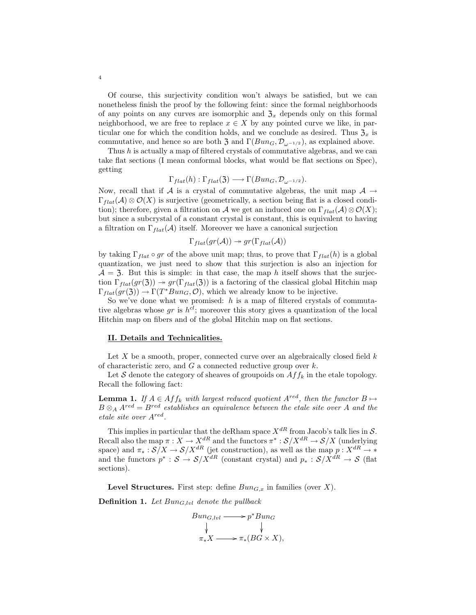Of course, this surjectivity condition won't always be satisfied, but we can nonetheless finish the proof by the following feint: since the formal neighborhoods of any points on any curves are isomorphic and  $\mathfrak{Z}_x$  depends only on this formal neighborhood, we are free to replace  $x \in X$  by any pointed curve we like, in particular one for which the condition holds, and we conclude as desired. Thus  $\mathfrak{Z}_x$  is commutative, and hence so are both 3 and  $\Gamma(Bun_G, \mathcal{D}_{\omega^{-1/2}})$ , as explained above.

Thus h is actually a map of filtered crystals of commutative algebras, and we can take flat sections (I mean conformal blocks, what would be flat sections on Spec), getting

$$
\Gamma_{flat}(h): \Gamma_{flat}(\mathfrak{Z}) \longrightarrow \Gamma(Bun_G, \mathcal{D}_{\omega^{-1/2}}).
$$

Now, recall that if A is a crystal of commutative algebras, the unit map  $\mathcal{A} \rightarrow$  $\Gamma_{flat}(\mathcal{A}) \otimes \mathcal{O}(X)$  is surjective (geometrically, a section being flat is a closed condition); therefore, given a filtration on A we get an induced one on  $\Gamma_{flat}(\mathcal{A}) \otimes \mathcal{O}(X);$ but since a subcrystal of a constant crystal is constant, this is equivalent to having a filtration on  $\Gamma_{flat}(\mathcal{A})$  itself. Moreover we have a canonical surjection

$$
\Gamma_{flat}(gr(\mathcal{A})) \twoheadrightarrow gr(\Gamma_{flat}(\mathcal{A}))
$$

by taking  $\Gamma_{flat} \circ gr$  of the above unit map; thus, to prove that  $\Gamma_{flat}(h)$  is a global quantization, we just need to show that this surjection is also an injection for  $A = 3$ . But this is simple: in that case, the map h itself shows that the surjection  $\Gamma_{flat}(gr(3)) \rightarrow gr(\Gamma_{flat}(3))$  is a factoring of the classical global Hitchin map  $\Gamma_{flat}(gr(3)) \to \Gamma(T^*Bun_G, \mathcal{O}),$  which we already know to be injective.

So we've done what we promised:  $h$  is a map of filtered crystals of commutative algebras whose  $gr$  is  $h^{cl}$ ; moreover this story gives a quantization of the local Hitchin map on fibers and of the global Hitchin map on flat sections.

## II. Details and Technicalities.

Let X be a smooth, proper, connected curve over an algebraically closed field  $k$ of characteristic zero, and  $G$  a connected reductive group over  $k$ .

Let S denote the category of sheaves of groupoids on  $Aff_k$  in the etale topology. Recall the following fact:

**Lemma 1.** If  $A \in Aff_k$  with largest reduced quotient  $A^{red}$ , then the functor  $B \mapsto$  $B \otimes_A A^{red} = B^{red}$  establishes an equivalence between the etale site over A and the etale site over Ared .

This implies in particular that the deRham space  $X^{dR}$  from Jacob's talk lies in  $S$ . Recall also the map  $\pi: X \to X^{dR}$  and the functors  $\pi^*: S/X^{dR} \to S/X$  (underlying space) and  $\pi_* : \mathcal{S}/X \to \mathcal{S}/X^{dR}$  (jet construction), as well as the map  $p: X^{dR} \to *$ and the functors  $p^*$ :  $S \to S/X^{dR}$  (constant crystal) and  $p_*$ :  $S/X^{dR} \to S$  (flat sections).

**Level Structures.** First step: define  $Bun_{G,x}$  in families (over X).

**Definition 1.** Let  $Bun_{G, lvl}$  denote the pullback

$$
Bun_{G,!v} \longrightarrow p^*Bun_G
$$
  
\n
$$
\downarrow \qquad \qquad \downarrow
$$
  
\n
$$
\pi_*X \longrightarrow \pi_*(BG \times X),
$$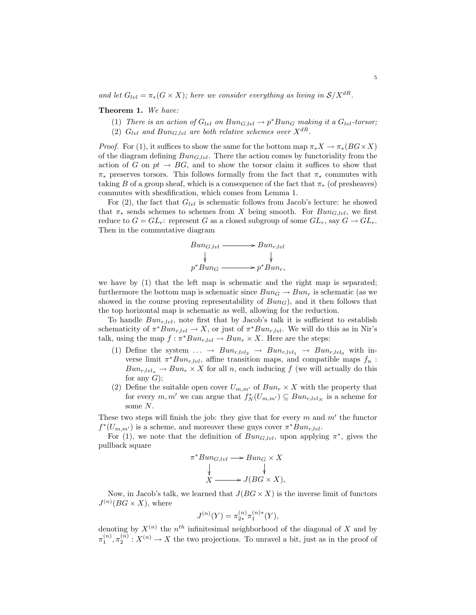and let  $G_{\text{tot}} = \pi_*(G \times X)$ ; here we consider everything as living in  $S/X^{dR}$ .

Theorem 1. We have:

(1) There is an action of  $G_{lvl}$  on  $Bun_{G, lvl} \to p^*Bun_G$  making it a  $G_{lvl}$ -torsor; (2)  $G_{\text{lvl}}$  and  $Bun_{G, \text{lvl}}$  are both relative schemes over  $X^{dR}$ .

*Proof.* For (1), it suffices to show the same for the bottom map  $\pi_* X \to \pi_*(BG \times X)$ of the diagram defining  $Bun_{G, lvl}$ . There the action comes by functoriality from the action of G on  $pt \rightarrow BG$ , and to show the torsor claim it suffices to show that  $\pi_*$  preserves torsors. This follows formally from the fact that  $\pi_*$  commutes with taking B of a group sheaf, which is a consequence of the fact that  $\pi_*$  (of presheaves) commutes with sheafification, which comes from Lemma 1.

For  $(2)$ , the fact that  $G_{lvl}$  is schematic follows from Jacob's lecture: he showed that  $\pi_*$  sends schemes to schemes from X being smooth. For  $Bun_{G, lvl}$ , we first reduce to  $G = GL_r$ : represent G as a closed subgroup of some  $GL_r$ , say  $G \to GL_r$ . Then in the commutative diagram

$$
Bun_{G,!vl} \longrightarrow Bun_{r,!vl}
$$
  
\n
$$
\downarrow \qquad \qquad \downarrow
$$
  
\n
$$
p^*Bun_G \longrightarrow p^*Bun_r,
$$

we have by (1) that the left map is schematic and the right map is separated; furthermore the bottom map is schematic since  $Bun_G \to Bun_r$  is schematic (as we showed in the course proving representability of  $Bun<sub>G</sub>$ ), and it then follows that the top horizontal map is schematic as well, allowing for the reduction.

To handle  $Bun_{r, lvl}$ , note first that by Jacob's talk it is sufficient to establish schematicity of  $\pi^*Bun_{r, lvl} \to X$ , or just of  $\pi^*Bun_{r, lvl}$ . We will do this as in Nir's talk, using the map  $f : \pi^* Bun_{r,lvl} \to Bun_r \times X$ . Here are the steps:

- (1) Define the system  $\ldots \rightarrow Bun_{r,lvl_2} \rightarrow Bun_{r,lvl_1} \rightarrow Bun_{r,lvl_0}$  with inverse limit  $\pi^*Bun_{r, lvl}$ , affine transition maps, and compatible maps  $f_n$ :  $Bun_{r, lvl_n} \to Bun_r \times X$  for all n, each inducing f (we will actually do this for any  $G$ ;
- (2) Define the suitable open cover  $U_{m,m'}$  of  $Bun_r \times X$  with the property that for every  $m, m'$  we can argue that  $f_N^*(U_{m,m'}) \subseteq Bun_{r, lvl_N}$  is a scheme for some N.

These two steps will finish the job: they give that for every  $m$  and  $m'$  the functor  $f^*(U_{m,m'})$  is a scheme, and moreover these guys cover  $\pi^*Bun_{r, lvl}$ .

For (1), we note that the definition of  $Bun_{G, lvl}$ , upon applying  $\pi^*$ , gives the pullback square

$$
\pi^*Bun_{G,!v} \longrightarrow Bun_G \times X
$$
  
\n
$$
\downarrow \qquad \qquad \downarrow
$$
  
\n
$$
X \longrightarrow J(BG \times X),
$$

Now, in Jacob's talk, we learned that  $J(BG \times X)$  is the inverse limit of functors  $J^{(n)}(BG \times X)$ , where

$$
J^{(n)}(Y) = \pi_{2*}^{(n)} \pi_1^{(n)*}(Y),
$$

denoting by  $X^{(n)}$  the  $n<sup>th</sup>$  infinitesimal neighborhood of the diagonal of X and by  $\pi_1^{(n)}, \pi_2^{(n)}: X^{(n)} \to X$  the two projections. To unravel a bit, just as in the proof of